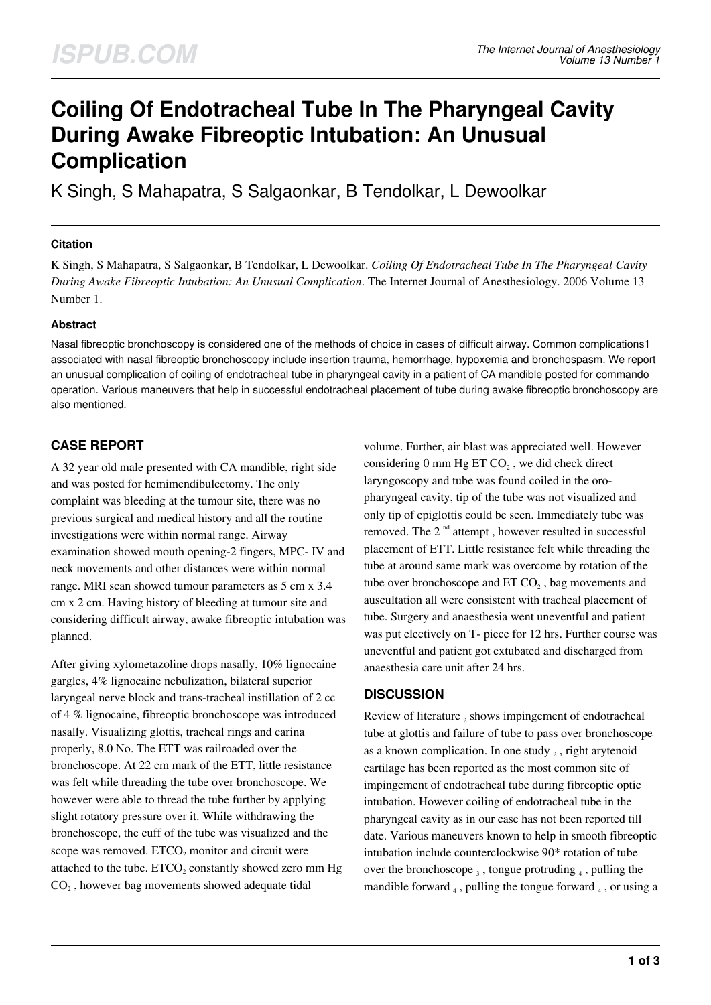# **Coiling Of Endotracheal Tube In The Pharyngeal Cavity During Awake Fibreoptic Intubation: An Unusual Complication**

K Singh, S Mahapatra, S Salgaonkar, B Tendolkar, L Dewoolkar

### **Citation**

K Singh, S Mahapatra, S Salgaonkar, B Tendolkar, L Dewoolkar. *Coiling Of Endotracheal Tube In The Pharyngeal Cavity During Awake Fibreoptic Intubation: An Unusual Complication*. The Internet Journal of Anesthesiology. 2006 Volume 13 Number 1.

## **Abstract**

Nasal fibreoptic bronchoscopy is considered one of the methods of choice in cases of difficult airway. Common complications1 associated with nasal fibreoptic bronchoscopy include insertion trauma, hemorrhage, hypoxemia and bronchospasm. We report an unusual complication of coiling of endotracheal tube in pharyngeal cavity in a patient of CA mandible posted for commando operation. Various maneuvers that help in successful endotracheal placement of tube during awake fibreoptic bronchoscopy are also mentioned.

# **CASE REPORT**

A 32 year old male presented with CA mandible, right side and was posted for hemimendibulectomy. The only complaint was bleeding at the tumour site, there was no previous surgical and medical history and all the routine investigations were within normal range. Airway examination showed mouth opening-2 fingers, MPC- IV and neck movements and other distances were within normal range. MRI scan showed tumour parameters as 5 cm x 3.4 cm x 2 cm. Having history of bleeding at tumour site and considering difficult airway, awake fibreoptic intubation was planned.

After giving xylometazoline drops nasally, 10% lignocaine gargles, 4% lignocaine nebulization, bilateral superior laryngeal nerve block and trans-tracheal instillation of 2 cc of 4 % lignocaine, fibreoptic bronchoscope was introduced nasally. Visualizing glottis, tracheal rings and carina properly, 8.0 No. The ETT was railroaded over the bronchoscope. At 22 cm mark of the ETT, little resistance was felt while threading the tube over bronchoscope. We however were able to thread the tube further by applying slight rotatory pressure over it. While withdrawing the bronchoscope, the cuff of the tube was visualized and the scope was removed.  $ETCO<sub>2</sub>$  monitor and circuit were attached to the tube.  $ETCO<sub>2</sub>$  constantly showed zero mm  $Hg$  $CO<sub>2</sub>$ , however bag movements showed adequate tidal

volume. Further, air blast was appreciated well. However considering 0 mm Hg ET  $CO<sub>2</sub>$ , we did check direct laryngoscopy and tube was found coiled in the oropharyngeal cavity, tip of the tube was not visualized and only tip of epiglottis could be seen. Immediately tube was removed. The  $2<sup>nd</sup>$  attempt, however resulted in successful placement of ETT. Little resistance felt while threading the tube at around same mark was overcome by rotation of the tube over bronchoscope and  $ETCO<sub>2</sub>$ , bag movements and auscultation all were consistent with tracheal placement of tube. Surgery and anaesthesia went uneventful and patient was put electively on T- piece for 12 hrs. Further course was uneventful and patient got extubated and discharged from anaesthesia care unit after 24 hrs.

## **DISCUSSION**

Review of literature  $_2$  shows impingement of endotracheal tube at glottis and failure of tube to pass over bronchoscope as a known complication. In one study  $_2$ , right arytenoid cartilage has been reported as the most common site of impingement of endotracheal tube during fibreoptic optic intubation. However coiling of endotracheal tube in the pharyngeal cavity as in our case has not been reported till date. Various maneuvers known to help in smooth fibreoptic intubation include counterclockwise 90\* rotation of tube over the bronchoscope  $_3$ , tongue protruding  $_4$ , pulling the mandible forward  $_4$ , pulling the tongue forward  $_4$ , or using a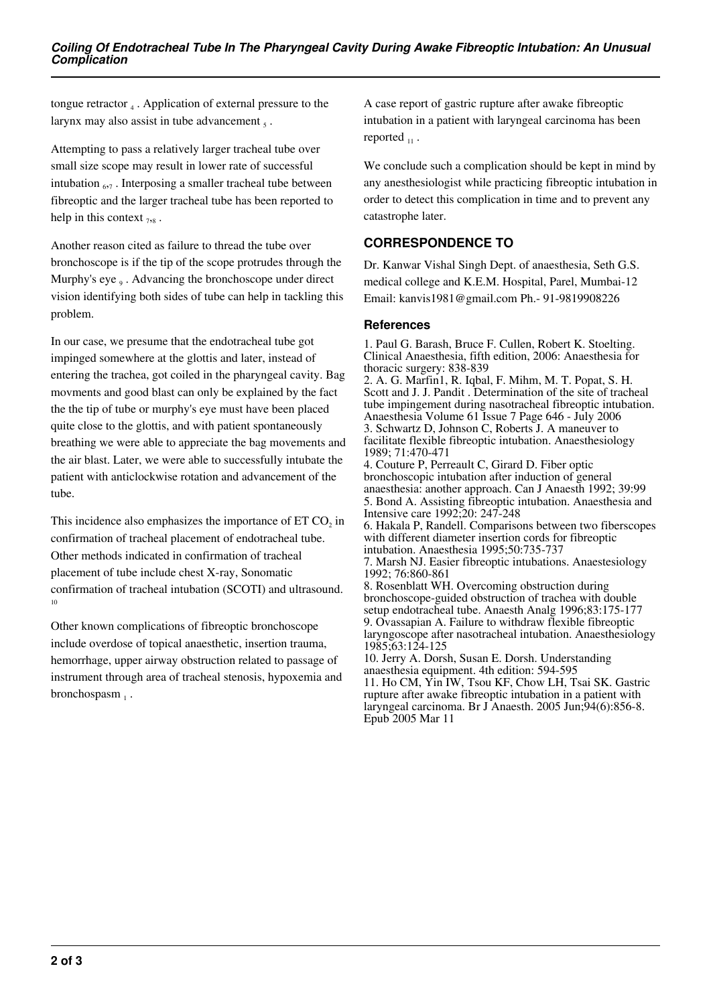tongue retractor  $_4$ . Application of external pressure to the larynx may also assist in tube advancement  $<sub>5</sub>$ .</sub>

Attempting to pass a relatively larger tracheal tube over small size scope may result in lower rate of successful intubation  $_{67}$ . Interposing a smaller tracheal tube between fibreoptic and the larger tracheal tube has been reported to help in this context  $_{7,8}$ .

Another reason cited as failure to thread the tube over bronchoscope is if the tip of the scope protrudes through the Murphy's eye<sub>9</sub>. Advancing the bronchoscope under direct vision identifying both sides of tube can help in tackling this problem.

In our case, we presume that the endotracheal tube got impinged somewhere at the glottis and later, instead of entering the trachea, got coiled in the pharyngeal cavity. Bag movments and good blast can only be explained by the fact the the tip of tube or murphy's eye must have been placed quite close to the glottis, and with patient spontaneously breathing we were able to appreciate the bag movements and the air blast. Later, we were able to successfully intubate the patient with anticlockwise rotation and advancement of the tube.

This incidence also emphasizes the importance of  $ETCO<sub>2</sub>$  in confirmation of tracheal placement of endotracheal tube. Other methods indicated in confirmation of tracheal placement of tube include chest X-ray, Sonomatic confirmation of tracheal intubation (SCOTI) and ultrasound. 10

Other known complications of fibreoptic bronchoscope include overdose of topical anaesthetic, insertion trauma, hemorrhage, upper airway obstruction related to passage of instrument through area of tracheal stenosis, hypoxemia and  $b$ ronchospasm $_1$ .

A case report of gastric rupture after awake fibreoptic intubation in a patient with laryngeal carcinoma has been reported  $_{11}$ .

We conclude such a complication should be kept in mind by any anesthesiologist while practicing fibreoptic intubation in order to detect this complication in time and to prevent any catastrophe later.

## **CORRESPONDENCE TO**

Dr. Kanwar Vishal Singh Dept. of anaesthesia, Seth G.S. medical college and K.E.M. Hospital, Parel, Mumbai-12 Email: kanvis1981@gmail.com Ph.- 91-9819908226

## **References**

Epub 2005 Mar 11

1. Paul G. Barash, Bruce F. Cullen, Robert K. Stoelting. Clinical Anaesthesia, fifth edition, 2006: Anaesthesia for thoracic surgery: 838-839 2. A. G. Marfin1, R. Iqbal, F. Mihm, M. T. Popat, S. H. Scott and J. J. Pandit . Determination of the site of tracheal tube impingement during nasotracheal fibreoptic intubation. Anaesthesia Volume 61 Issue 7 Page 646 - July 2006 3. Schwartz D, Johnson C, Roberts J. A maneuver to facilitate flexible fibreoptic intubation. Anaesthesiology 1989; 71:470-471 4. Couture P, Perreault C, Girard D. Fiber optic bronchoscopic intubation after induction of general anaesthesia: another approach. Can J Anaesth 1992; 39:99 5. Bond A. Assisting fibreoptic intubation. Anaesthesia and Intensive care 1992;20: 247-248 6. Hakala P, Randell. Comparisons between two fiberscopes with different diameter insertion cords for fibreoptic intubation. Anaesthesia 1995;50:735-737 7. Marsh NJ. Easier fibreoptic intubations. Anaestesiology 1992; 76:860-861 8. Rosenblatt WH. Overcoming obstruction during bronchoscope-guided obstruction of trachea with double setup endotracheal tube. Anaesth Analg 1996;83:175-177 9. Ovassapian A. Failure to withdraw flexible fibreoptic laryngoscope after nasotracheal intubation. Anaesthesiology 1985;63:124-125 10. Jerry A. Dorsh, Susan E. Dorsh. Understanding anaesthesia equipment. 4th edition: 594-595 11. Ho CM, Yin IW, Tsou KF, Chow LH, Tsai SK. Gastric rupture after awake fibreoptic intubation in a patient with laryngeal carcinoma. Br J Anaesth. 2005 Jun;94(6):856-8.